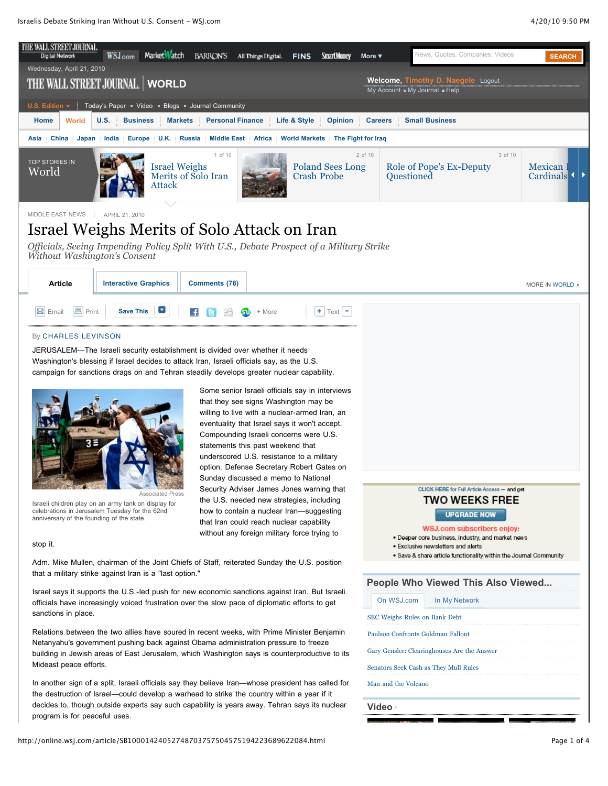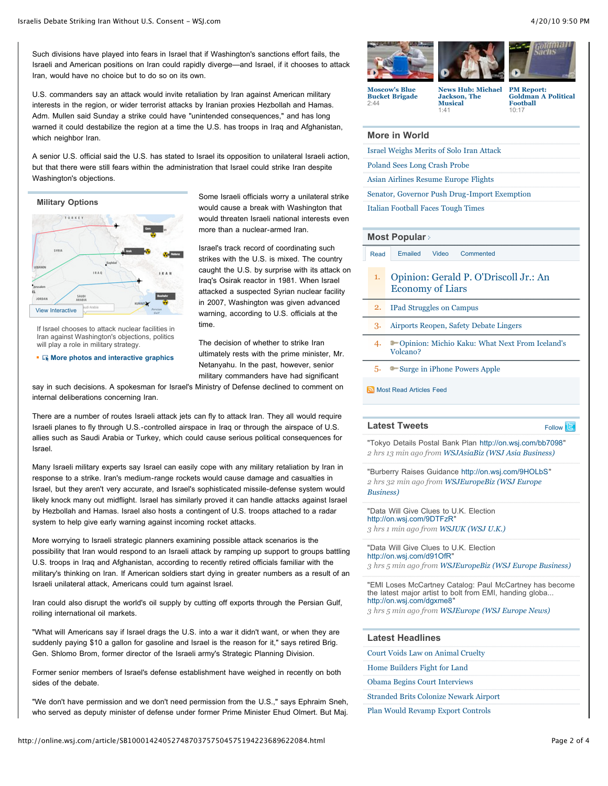Such divisions have played into fears in Israel that if Washington's sanctions effort fails, the Israeli and American positions on Iran could rapidly diverge—and Israel, if it chooses to attack Iran, would have no choice but to do so on its own.

U.S. commanders say an attack would invite retaliation by Iran against American military interests in the region, or wider terrorist attacks by Iranian proxies Hezbollah and Hamas. Adm. Mullen said Sunday a strike could have "unintended consequences," and has long warned it could destabilize the region at a time the U.S. has troops in Iraq and Afghanistan, which neighbor Iran.

A senior U.S. official said the U.S. has stated to Israel its opposition to unilateral Israeli action, but that there were still fears within the administration that Israel could strike Iran despite Washington's objections.

**Military Options**



If Israel chooses to attack nuclear facilities in Iran against Washington's objections, politics will play a role in military strategy.

**K** [More photos and interactive graphics](http://online.wsj.com/public/page/0_0_WP_2003.html)

Some Israeli officials worry a unilateral strike would cause a break with Washington that would threaten Israeli national interests even more than a nuclear-armed Iran.

Israel's track record of coordinating such strikes with the U.S. is mixed. The country caught the U.S. by surprise with its attack on Iraq's Osirak reactor in 1981. When Israel attacked a suspected Syrian nuclear facility in 2007, Washington was given advanced warning, according to U.S. officials at the time.

The decision of whether to strike Iran ultimately rests with the prime minister, Mr. Netanyahu. In the past, however, senior military commanders have had significant

say in such decisions. A spokesman for Israel's Ministry of Defense declined to comment on internal deliberations concerning Iran.

There are a number of routes Israeli attack jets can fly to attack Iran. They all would require Israeli planes to fly through U.S.-controlled airspace in Iraq or through the airspace of U.S. allies such as Saudi Arabia or Turkey, which could cause serious political consequences for Israel.

Many Israeli military experts say Israel can easily cope with any military retaliation by Iran in response to a strike. Iran's medium-range rockets would cause damage and casualties in Israel, but they aren't very accurate, and Israel's sophisticated missile-defense system would likely knock many out midflight. Israel has similarly proved it can handle attacks against Israel by Hezbollah and Hamas. Israel also hosts a contingent of U.S. troops attached to a radar system to help give early warning against incoming rocket attacks.

More worrying to Israeli strategic planners examining possible attack scenarios is the possibility that Iran would respond to an Israeli attack by ramping up support to groups battling U.S. troops in Iraq and Afghanistan, according to recently retired officials familiar with the military's thinking on Iran. If American soldiers start dying in greater numbers as a result of an Israeli unilateral attack, Americans could turn against Israel.

Iran could also disrupt the world's oil supply by cutting off exports through the Persian Gulf, roiling international oil markets.

"What will Americans say if Israel drags the U.S. into a war it didn't want, or when they are suddenly paying \$10 a gallon for gasoline and Israel is the reason for it," says retired Brig. Gen. Shlomo Brom, former director of the Israeli army's Strategic Planning Division.

Former senior members of Israel's defense establishment have weighed in recently on both sides of the debate.

"We don't have permission and we don't need permission from the U.S.," says Ephraim Sneh, who served as deputy minister of defense under former Prime Minister Ehud Olmert. But Maj.







**Moscow's Blue [Bucket Brigade](http://online.wsj.com/video/moscow-blue-bucket-brigade/11F1D812-C0A4-4770-A6B5-E3A7EEDBA58E.html)**  $2.44$ 

**[News Hub: Michael](http://online.wsj.com/video/news-hub-michael-jackson-the-musical/DD317A36-C188-420B-8CD8-1E53E3BEDE9D.html) Jackson, The Musical** 1:41

**PM Report: [Goldman A Political](http://online.wsj.com/video/pm-report-goldman-a-political-football/EE27A76E-46E3-479D-8FF9-A4FE1B3827D2.html) Football** 10:17

# **More in World**

- [Israel Weighs Merits of Solo Iran Attack](http://online.wsj.com/article/SB10001424052748703757504575194223689622084.html?mod=WSJ_article_MoreIn)
- [Poland Sees Long Crash Probe](http://online.wsj.com/article/SB10001424052748703763904575196100835030916.html?mod=WSJ_article_MoreIn)

[Asian Airlines Resume Europe Flights](http://online.wsj.com/article/SB10001424052748704448304575197070178579384.html?mod=WSJ_article_MoreIn)

[Senator, Governor Push Drug-Import Exemption](http://online.wsj.com/article/SB10001424052748704448304575196412257010970.html?mod=WSJ_article_MoreIn)

[Italian Football Faces Tough Times](http://online.wsj.com/article/SB10001424052702304798204575183693154852112.html?mod=WSJ_article_MoreIn)

# **[Most Popular](http://online.wsj.com/public/page/most_popular.html)**

[Read](http://online.wsj.com/article/SB10001424052748703757504575194223689622084.html#mostPopular_mostRead) [Emailed](http://online.wsj.com/article/SB10001424052748703757504575194223689622084.html#mostPopular_mostEmailed) [Video](http://online.wsj.com/article/SB10001424052748703757504575194223689622084.html#mostPopular_mostPopularVideo) [Commented](http://online.wsj.com/article/SB10001424052748703757504575194223689622084.html#mostPopular_mostCommented)

- 1. [Opinion: Gerald P. O'Driscoll Jr.: An](http://online.wsj.com/article/SB10001424052748704508904575192430373566758.html?mod=WSJ_hp_mostpop_read) Economy of Liars
- 2. [IPad Struggles on Campus](http://online.wsj.com/article/SB10001424052748703594404575192330930646778.html?mod=WSJ_hp_mostpop_read)
- 3. [Airports Reopen, Safety Debate Lingers](http://online.wsj.com/article/SB10001424052748704448304575195400233188306.html?mod=WSJ_hp_mostpop_read)
- 4.  **[Opinion: Michio Kaku: What Next From Iceland's](http://online.wsj.com/article/SB20001424052748704671904575194100682717346.html?mod=WSJ_hp_mostpop_read)** Volcano?
- 5. [Surge in iPhone Powers Apple](http://online.wsj.com/article/SB10001424052748703763904575195850099083286.html?mod=WSJ_hp_mostpop_read)

## [Most Read Articles Feed](http://online.wsj.com/rss?mod=fpp_rss)

## **Latest Tweets** [Follow](http://twitter.com/wsj) **Example 2**

"Tokyo Details Postal Bank Plan <http://on.wsj.com/bb7098>" *2 hrs 13 min ago from [WSJAsiaBiz \(WSJ Asia Business\)](http://twitter.com/WSJAsiaBiz)*

"Burberry Raises Guidance [http://on.wsj.com/9HOLbS"](http://on.wsj.com/9HOLbS) *2 hrs 32 min ago from [WSJEuropeBiz \(WSJ Europe](http://twitter.com/WSJEuropeBiz) Business)*

"Data Will Give Clues to U.K. Election <http://on.wsj.com/9DTFzR>" *3 hrs 1 min ago from [WSJUK \(WSJ U.K.\)](http://twitter.com/WSJUK)*

"Data Will Give Clues to U.K. Election [http://on.wsj.com/d91OfR"](http://on.wsj.com/d91OfR) *3 hrs 5 min ago from [WSJEuropeBiz \(WSJ Europe Business\)](http://twitter.com/WSJEuropeBiz)*

"EMI Loses McCartney Catalog: Paul McCartney has become the latest major artist to bolt from EMI, handing globa... [http://on.wsj.com/dgxme8"](http://on.wsj.com/dgxme8)

*3 hrs 5 min ago from [WSJEurope \(WSJ Europe News\)](http://twitter.com/WSJEurope)*

# **Latest Headlines**

- [Court Voids Law on Animal Cruelty](http://online.wsj.com/article/SB10001424052748704448304575195912729681780.html?mod=WSJ_article_LatestHeadlines)
- [Home Builders Fight for Land](http://online.wsj.com/article/SB10001424052748703763904575196291509876752.html?mod=WSJ_article_LatestHeadlines)
- [Obama Begins Court Interviews](http://online.wsj.com/article/SB10001424052748703763904575196443288241072.html?mod=WSJ_article_LatestHeadlines)
- [Stranded Brits Colonize Newark Airport](http://online.wsj.com/article/SB10001424052748703763904575196901249667066.html?mod=WSJ_article_LatestHeadlines)
- [Plan Would Revamp Export Controls](http://online.wsj.com/article/SB10001424052748703763904575196482467413668.html?mod=WSJ_article_LatestHeadlines)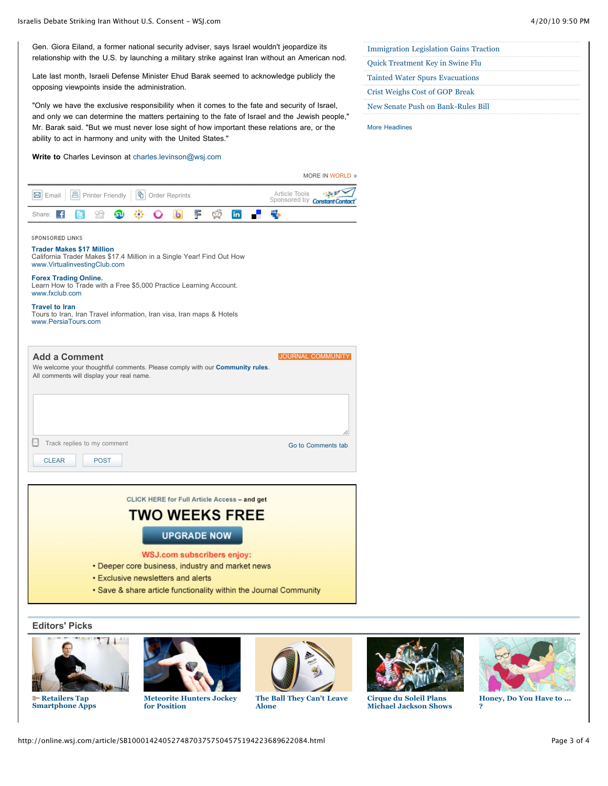Gen. Giora Eiland, a former national security adviser, says Israel wouldn't jeopardize its relationship with the U.S. by launching a military strike against Iran without an American nod.

Late last month, Israeli Defense Minister Ehud Barak seemed to acknowledge publicly the opposing viewpoints inside the administration.

"Only we have the exclusive responsibility when it comes to the fate and security of Israel, and only we can determine the matters pertaining to the fate of Israel and the Jewish people," Mr. Barak said. "But we must never lose sight of how important these relations are, or the ability to act in harmony and unity with the United States."

# **Write to** Charles Levinson at [charles.levinson@wsj.com](mailto:charles.levinson@wsj.com)

| <b>Immigration Legislation Gains Traction</b> |  |
|-----------------------------------------------|--|
| <b>Quick Treatment Key in Swine Flu</b>       |  |
| <b>Tainted Water Spurs Evacuations</b>        |  |
| Crist Weighs Cost of GOP Break                |  |
| New Senate Push on Bank-Rules Bill            |  |

[More Headlines](http://online.wsj.com/home/us)

|                                                                  | <b>MORE IN WORLD 3</b>                                |
|------------------------------------------------------------------|-------------------------------------------------------|
| <b>M</b> Email <b>A</b> Printer Friendly <b>h</b> Order Reprints | Article Tools<br>Sponsored by <b>Constant Contact</b> |
| Share: 【 B 编 G 嵌 G b F g i                                       | in Press                                              |
| SPONSORED LINKS                                                  |                                                       |

# **[Trader Makes \\$17 Million](http://397361.r.msn.com/?ld=2vrr3loRbPwW9nUgqtJEmAXodl30h/ZkhQIAHu5pTY4rsYHAHQ2Gu06dLUfjrfbUGOlyIUSSrNaeqm77KGy8mPoQv3o1xU+veVLSmhAM3ZyswXDV2MYMWmQdXRLSdBGaKM8kA8KzOEUdF5kHheFdDeR0E1PGWxko1CJjklerFVp8jJwGCm4rLCs6FTKABcHdTL4m1YDshaUGlJWb1c8ngJSlNfX2Ysh8fadsKZ8df/d3xbDvAJldNdW5nMr14Llei/S3OjhK33ZFJiT/46BVAQHY9RL5scj00m5B50Md0101/xL/BIT0caENpUpX9cErD6EAs=)**

[California Trader Makes \\$17.4 Million in a Single Year! Find Out How](http://397361.r.msn.com/?ld=2vrr3loRbPwW9nUgqtJEmAXodl30h/ZkhQIAHu5pTY4rsYHAHQ2Gu06dLUfjrfbUGOlyIUSSrNaeqm77KGy8mPoQv3o1xU+veVLSmhAM3ZyswXDV2MYMWmQdXRLSdBGaKM8kA8KzOEUdF5kHheFdDeR0E1PGWxko1CJjklerFVp8jJwGCm4rLCs6FTKABcHdTL4m1YDshaUGlJWb1c8ngJSlNfX2Ysh8fadsKZ8df/d3xbDvAJldNdW5nMr14Llei/S3OjhK33ZFJiT/46BVAQHY9RL5scj00m5B50Md0101/xL/BIT0caENpUpX9cErD6EAs=) [www.VirtualinvestingClub.com](http://397361.r.msn.com/?ld=2vrr3loRbPwW9nUgqtJEmAXodl30h/ZkhQIAHu5pTY4rsYHAHQ2Gu06dLUfjrfbUGOlyIUSSrNaeqm77KGy8mPoQv3o1xU+veVLSmhAM3ZyswXDV2MYMWmQdXRLSdBGaKM8kA8KzOEUdF5kHheFdDeR0E1PGWxko1CJjklerFVp8jJwGCm4rLCs6FTKABcHdTL4m1YDshaUGlJWb1c8ngJSlNfX2Ysh8fadsKZ8df/d3xbDvAJldNdW5nMr14Llei/S3OjhK33ZFJiT/46BVAQHY9RL5scj00m5B50Md0101/xL/BIT0caENpUpX9cErD6EAs=)

**[Forex Trading Online.](http://35884.r.msn.com/?ld=2v7E4R+cJl7xWFyVfZYxpGYnMYMobaWStNcWZrEcRZLBDbgio6U4fnJxRXXoN4H9M1dUpxFprBKko7VJG5NSNiW9DgH0ci7HsJWlduGHS48kNhSIbrttXH6NrLVt4wMPQgttKyTWfZB5rxo3GthKhUpj1tw5RSvvnEXBJ208VmXhshG7DIK3wBxUPoVm7SKroEId6x8RHzXc7shbmnVbdsCWO5wpPR++SD+GB0PFUHIsOQH8XkHeKwnSl0MoBc/2bEAb5/008jCgQjpOdSsEepfJF6iv9muez1q2Mk8EhPR+EeTAMCOPKMaGc9Cw==)** [Learn How to Trade with a Free \\$5,000 Practice Learning Account.](http://35884.r.msn.com/?ld=2v7E4R+cJl7xWFyVfZYxpGYnMYMobaWStNcWZrEcRZLBDbgio6U4fnJxRXXoN4H9M1dUpxFprBKko7VJG5NSNiW9DgH0ci7HsJWlduGHS48kNhSIbrttXH6NrLVt4wMPQgttKyTWfZB5rxo3GthKhUpj1tw5RSvvnEXBJ208VmXhshG7DIK3wBxUPoVm7SKroEId6x8RHzXc7shbmnVbdsCWO5wpPR++SD+GB0PFUHIsOQH8XkHeKwnSl0MoBc/2bEAb5/008jCgQjpOdSsEepfJF6iv9muez1q2Mk8EhPR+EeTAMCOPKMaGc9Cw==) [www.fxclub.com](http://35884.r.msn.com/?ld=2v7E4R+cJl7xWFyVfZYxpGYnMYMobaWStNcWZrEcRZLBDbgio6U4fnJxRXXoN4H9M1dUpxFprBKko7VJG5NSNiW9DgH0ci7HsJWlduGHS48kNhSIbrttXH6NrLVt4wMPQgttKyTWfZB5rxo3GthKhUpj1tw5RSvvnEXBJ208VmXhshG7DIK3wBxUPoVm7SKroEId6x8RHzXc7shbmnVbdsCWO5wpPR++SD+GB0PFUHIsOQH8XkHeKwnSl0MoBc/2bEAb5/008jCgQjpOdSsEepfJF6iv9muez1q2Mk8EhPR+EeTAMCOPKMaGc9Cw==)

### **[Travel to Iran](http://0.r.msn.com/?ld=2vm/xXGVpwe725BNraOLDM1M+zU6SBcZ7/a8FKmgirE5gQTBFwxTTOBy+OWoAccEKfA8ZnfFLEbZS6cMQg1f7NdosbNG1fYuWk5xROSmZ1M/CNtIJnKPTV0UwIUqCOTrDKPrxizHcoJX472bZ97u/4uKfiqyo3beVDPJwo17AC1DmZlu03+JW20Jun3y+6WBWQj84JENxpbB52v/OIWzBqKd5fQNE2ZeCvgD5/i/BIT0dr3fry9sbETEl86gs=)**

[Tours to Iran, Iran Travel information, Iran visa, Iran maps & Hotels](http://0.r.msn.com/?ld=2vm/xXGVpwe725BNraOLDM1M+zU6SBcZ7/a8FKmgirE5gQTBFwxTTOBy+OWoAccEKfA8ZnfFLEbZS6cMQg1f7NdosbNG1fYuWk5xROSmZ1M/CNtIJnKPTV0UwIUqCOTrDKPrxizHcoJX472bZ97u/4uKfiqyo3beVDPJwo17AC1DmZlu03+JW20Jun3y+6WBWQj84JENxpbB52v/OIWzBqKd5fQNE2ZeCvgD5/i/BIT0dr3fry9sbETEl86gs=) [www.PersiaTours.com](http://0.r.msn.com/?ld=2vm/xXGVpwe725BNraOLDM1M+zU6SBcZ7/a8FKmgirE5gQTBFwxTTOBy+OWoAccEKfA8ZnfFLEbZS6cMQg1f7NdosbNG1fYuWk5xROSmZ1M/CNtIJnKPTV0UwIUqCOTrDKPrxizHcoJX472bZ97u/4uKfiqyo3beVDPJwo17AC1DmZlu03+JW20Jun3y+6WBWQj84JENxpbB52v/OIWzBqKd5fQNE2ZeCvgD5/i/BIT0dr3fry9sbETEl86gs=)



CLICK HERE for Full Article Access - and get

# **TWO WEEKS FREE**

**UPGRADE NOW** 

**WSJ.com subscribers enjoy:** 

- Deeper core business, industry and market news
- **Exclusive newsletters and alerts**
- Save & share article functionality within the Journal Community

**Editors' Picks**



÷ **Retailers Tap [Smartphone Apps](http://online.wsj.com/article/SB10001424052748703763904575196221941772404.html?mod=WSJ_hp_editorsPicks)**



**[Meteorite Hunters Jockey](http://online.wsj.com/article/SB10001424052748703763904575196440679468262.html?mod=WSJ_hp_editorsPicks) for Position**



**[The Ball They Can't Leave](http://online.wsj.com/article/SB10001424052748704448304575196292487717062.html?mod=WSJ_hp_editorsPicks) Alone**



**Cirque du Soleil Plans [Michael Jackson Shows](http://online.wsj.com/article/SB10001424052748704448304575196073734554264.html?mod=WSJ_hp_editorsPicks)**



**[Honey, Do You Have to ...](http://online.wsj.com/article/SB10001424052748703757504575194040423167792.html?mod=WSJ_hp_editorsPicks) ?**